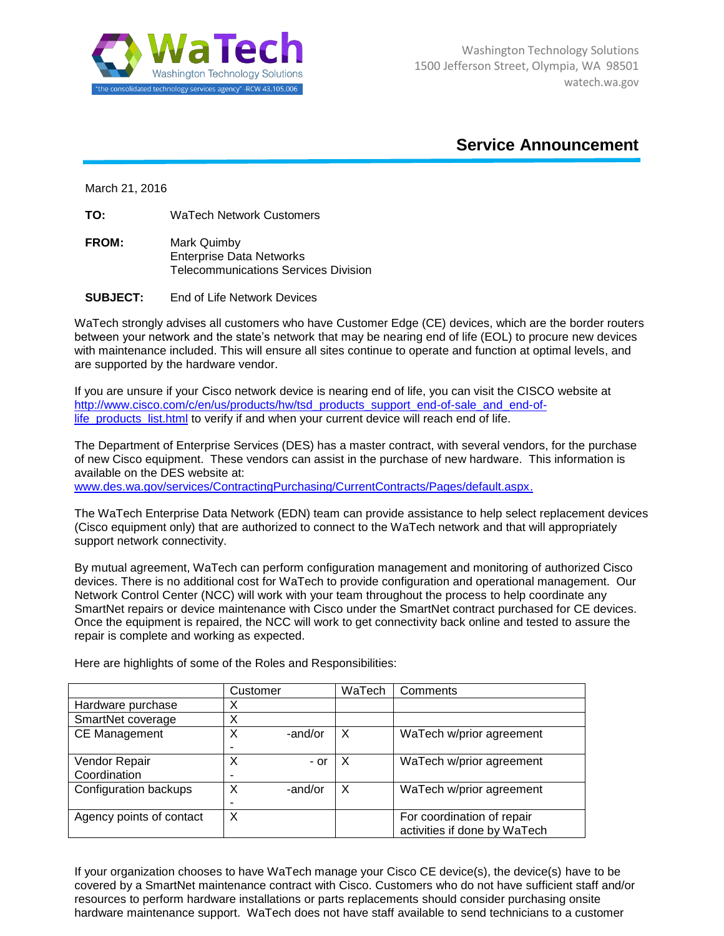

## **Service Announcement**

March 21, 2016

**TO:** WaTech Network Customers

- **FROM:** Mark Quimby Enterprise Data Networks Telecommunications Services Division
- **SUBJECT:** End of Life Network Devices

WaTech strongly advises all customers who have Customer Edge (CE) devices, which are the border routers between your network and the state's network that may be nearing end of life (EOL) to procure new devices with maintenance included. This will ensure all sites continue to operate and function at optimal levels, and are supported by the hardware vendor.

If you are unsure if your Cisco network device is nearing end of life, you can visit the CISCO website at [http://www.cisco.com/c/en/us/products/hw/tsd\\_products\\_support\\_end-of-sale\\_and\\_end-of](http://www.cisco.com/c/en/us/products/hw/tsd_products_support_end-of-sale_and_end-of-life_products_list.html)[life\\_products\\_list.html](http://www.cisco.com/c/en/us/products/hw/tsd_products_support_end-of-sale_and_end-of-life_products_list.html) to verify if and when your current device will reach end of life.

The Department of Enterprise Services (DES) has a master contract, with several vendors, for the purchase of new Cisco equipment. These vendors can assist in the purchase of new hardware. This information is available on the DES website at:

[www.des.wa.gov/services/ContractingPurchasing/CurrentContracts/Pages/default.aspx.](http://www.des.wa.gov/services/ContractingPurchasing/CurrentContracts/Pages/default.aspx)

The WaTech Enterprise Data Network (EDN) team can provide assistance to help select replacement devices (Cisco equipment only) that are authorized to connect to the WaTech network and that will appropriately support network connectivity.

By mutual agreement, WaTech can perform configuration management and monitoring of authorized Cisco devices. There is no additional cost for WaTech to provide configuration and operational management. Our Network Control Center (NCC) will work with your team throughout the process to help coordinate any SmartNet repairs or device maintenance with Cisco under the SmartNet contract purchased for CE devices. Once the equipment is repaired, the NCC will work to get connectivity back online and tested to assure the repair is complete and working as expected.

|                          | Customer |         | WaTech | Comments                     |
|--------------------------|----------|---------|--------|------------------------------|
| Hardware purchase        | х        |         |        |                              |
| SmartNet coverage        | Χ        |         |        |                              |
| <b>CE Management</b>     | X        | -and/or | X      | WaTech w/prior agreement     |
|                          |          |         |        |                              |
| Vendor Repair            | Χ        | $-$ or  | X      | WaTech w/prior agreement     |
| Coordination             |          |         |        |                              |
| Configuration backups    | X        | -and/or | X      | WaTech w/prior agreement     |
|                          |          |         |        |                              |
| Agency points of contact | X        |         |        | For coordination of repair   |
|                          |          |         |        | activities if done by WaTech |

Here are highlights of some of the Roles and Responsibilities:

If your organization chooses to have WaTech manage your Cisco CE device(s), the device(s) have to be covered by a SmartNet maintenance contract with Cisco. Customers who do not have sufficient staff and/or resources to perform hardware installations or parts replacements should consider purchasing onsite hardware maintenance support. WaTech does not have staff available to send technicians to a customer